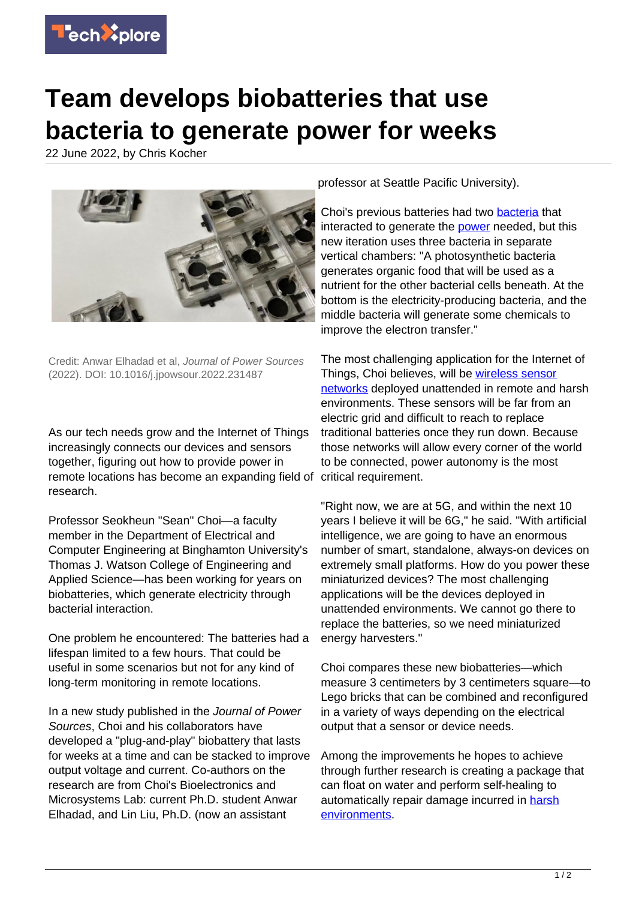

## **Team develops biobatteries that use bacteria to generate power for weeks**

22 June 2022, by Chris Kocher



Credit: Anwar Elhadad et al, Journal of Power Sources (2022). DOI: 10.1016/j.jpowsour.2022.231487

As our tech needs grow and the Internet of Things increasingly connects our devices and sensors together, figuring out how to provide power in remote locations has become an expanding field of research.

Professor Seokheun "Sean" Choi—a faculty member in the Department of Electrical and Computer Engineering at Binghamton University's Thomas J. Watson College of Engineering and Applied Science—has been working for years on biobatteries, which generate electricity through bacterial interaction.

One problem he encountered: The batteries had a lifespan limited to a few hours. That could be useful in some scenarios but not for any kind of long-term monitoring in remote locations.

In a new study published in the Journal of Power Sources, Choi and his collaborators have developed a "plug-and-play" biobattery that lasts for weeks at a time and can be stacked to improve output voltage and current. Co-authors on the research are from Choi's Bioelectronics and Microsystems Lab: current Ph.D. student Anwar Elhadad, and Lin Liu, Ph.D. (now an assistant

professor at Seattle Pacific University).

Choi's previous batteries had two [bacteria](https://techxplore.com/tags/bacteria/) that interacted to generate the **power** needed, but this new iteration uses three bacteria in separate vertical chambers: "A photosynthetic bacteria generates organic food that will be used as a nutrient for the other bacterial cells beneath. At the bottom is the electricity-producing bacteria, and the middle bacteria will generate some chemicals to improve the electron transfer."

The most challenging application for the Internet of Things, Choi believes, will be [wireless sensor](https://techxplore.com/tags/wireless+sensor+networks/) [networks](https://techxplore.com/tags/wireless+sensor+networks/) deployed unattended in remote and harsh environments. These sensors will be far from an electric grid and difficult to reach to replace traditional batteries once they run down. Because those networks will allow every corner of the world to be connected, power autonomy is the most critical requirement.

"Right now, we are at 5G, and within the next 10 years I believe it will be 6G," he said. "With artificial intelligence, we are going to have an enormous number of smart, standalone, always-on devices on extremely small platforms. How do you power these miniaturized devices? The most challenging applications will be the devices deployed in unattended environments. We cannot go there to replace the batteries, so we need miniaturized energy harvesters."

Choi compares these new biobatteries—which measure 3 centimeters by 3 centimeters square—to Lego bricks that can be combined and reconfigured in a variety of ways depending on the electrical output that a sensor or device needs.

Among the improvements he hopes to achieve through further research is creating a package that can float on water and perform self-healing to automatically repair damage incurred in [harsh](https://techxplore.com/tags/harsh+environments/) [environments](https://techxplore.com/tags/harsh+environments/).